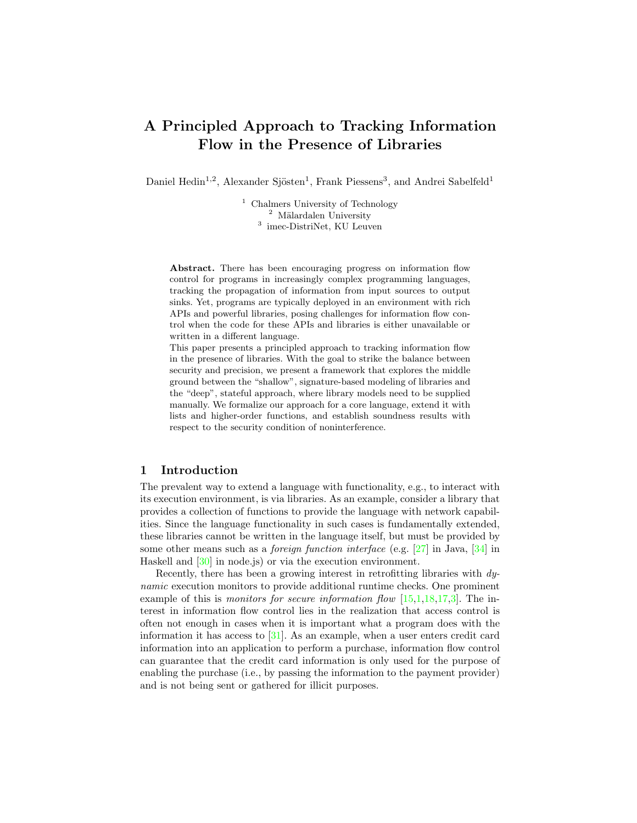# A Principled Approach to Tracking Information Flow in the Presence of Libraries

Daniel Hedin<sup>1,2</sup>, Alexander Sjösten<sup>1</sup>, Frank Piessens<sup>3</sup>, and Andrei Sabelfeld<sup>1</sup>

<sup>1</sup> Chalmers University of Technology  $2$  Mälardalen University 3 imec-DistriNet, KU Leuven

Abstract. There has been encouraging progress on information flow control for programs in increasingly complex programming languages, tracking the propagation of information from input sources to output sinks. Yet, programs are typically deployed in an environment with rich APIs and powerful libraries, posing challenges for information flow control when the code for these APIs and libraries is either unavailable or written in a different language.

This paper presents a principled approach to tracking information flow in the presence of libraries. With the goal to strike the balance between security and precision, we present a framework that explores the middle ground between the "shallow", signature-based modeling of libraries and the "deep", stateful approach, where library models need to be supplied manually. We formalize our approach for a core language, extend it with lists and higher-order functions, and establish soundness results with respect to the security condition of noninterference.

# 1 Introduction

The prevalent way to extend a language with functionality, e.g., to interact with its execution environment, is via libraries. As an example, consider a library that provides a collection of functions to provide the language with network capabilities. Since the language functionality in such cases is fundamentally extended, these libraries cannot be written in the language itself, but must be provided by some other means such as a *foreign function interface* (e.g.  $[27]$  in Java,  $[34]$  in Haskell and [\[30\]](#page-21-1) in node.js) or via the execution environment.

Recently, there has been a growing interest in retrofitting libraries with dynamic execution monitors to provide additional runtime checks. One prominent example of this is *monitors for secure information flow*  $[15,1,18,17,3]$  $[15,1,18,17,3]$  $[15,1,18,17,3]$  $[15,1,18,17,3]$  $[15,1,18,17,3]$ . The interest in information flow control lies in the realization that access control is often not enough in cases when it is important what a program does with the information it has access to [\[31\]](#page-21-2). As an example, when a user enters credit card information into an application to perform a purchase, information flow control can guarantee that the credit card information is only used for the purpose of enabling the purchase (i.e., by passing the information to the payment provider) and is not being sent or gathered for illicit purposes.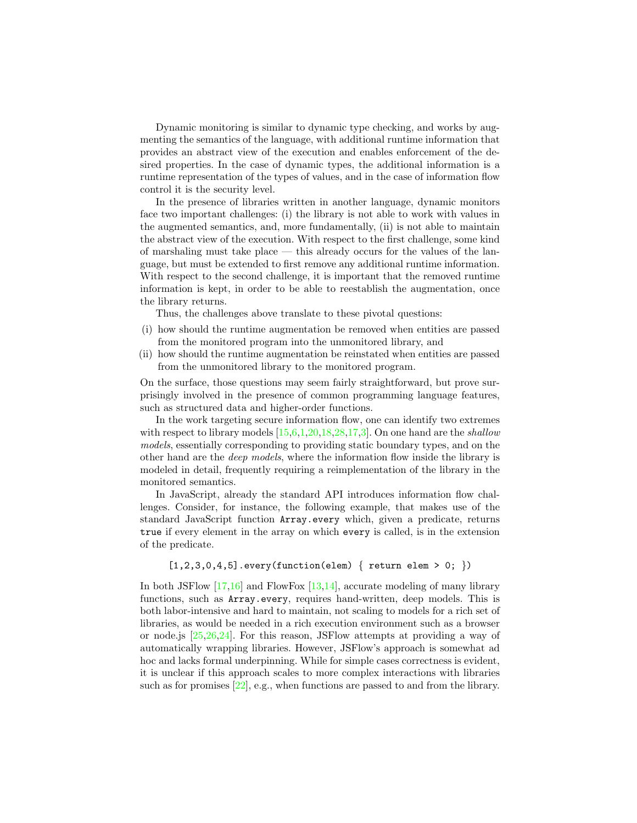Dynamic monitoring is similar to dynamic type checking, and works by augmenting the semantics of the language, with additional runtime information that provides an abstract view of the execution and enables enforcement of the desired properties. In the case of dynamic types, the additional information is a runtime representation of the types of values, and in the case of information flow control it is the security level.

In the presence of libraries written in another language, dynamic monitors face two important challenges: (i) the library is not able to work with values in the augmented semantics, and, more fundamentally, (ii) is not able to maintain the abstract view of the execution. With respect to the first challenge, some kind of marshaling must take place — this already occurs for the values of the language, but must be extended to first remove any additional runtime information. With respect to the second challenge, it is important that the removed runtime information is kept, in order to be able to reestablish the augmentation, once the library returns.

Thus, the challenges above translate to these pivotal questions:

- (i) how should the runtime augmentation be removed when entities are passed from the monitored program into the unmonitored library, and
- (ii) how should the runtime augmentation be reinstated when entities are passed from the unmonitored library to the monitored program.

On the surface, those questions may seem fairly straightforward, but prove surprisingly involved in the presence of common programming language features, such as structured data and higher-order functions.

In the work targeting secure information flow, one can identify two extremes with respect to library models  $[15,6,1,20,18,28,17,3]$  $[15,6,1,20,18,28,17,3]$  $[15,6,1,20,18,28,17,3]$  $[15,6,1,20,18,28,17,3]$  $[15,6,1,20,18,28,17,3]$  $[15,6,1,20,18,28,17,3]$  $[15,6,1,20,18,28,17,3]$  $[15,6,1,20,18,28,17,3]$ . On one hand are the *shallow* models, essentially corresponding to providing static boundary types, and on the other hand are the deep models, where the information flow inside the library is modeled in detail, frequently requiring a reimplementation of the library in the monitored semantics.

In JavaScript, already the standard API introduces information flow challenges. Consider, for instance, the following example, that makes use of the standard JavaScript function Array.every which, given a predicate, returns true if every element in the array on which every is called, is in the extension of the predicate.

```
[1,2,3,0,4,5].every(function(elem) { return elem > 0; })
```
In both JSFlow [\[17](#page-20-3)[,16\]](#page-20-7) and FlowFox [\[13,](#page-20-8)[14\]](#page-20-9), accurate modeling of many library functions, such as Array.every, requires hand-written, deep models. This is both labor-intensive and hard to maintain, not scaling to models for a rich set of libraries, as would be needed in a rich execution environment such as a browser or node.js [\[25](#page-20-10)[,26,](#page-20-11)[24\]](#page-20-12). For this reason, JSFlow attempts at providing a way of automatically wrapping libraries. However, JSFlow's approach is somewhat ad hoc and lacks formal underpinning. While for simple cases correctness is evident, it is unclear if this approach scales to more complex interactions with libraries such as for promises [\[22\]](#page-20-13), e.g., when functions are passed to and from the library.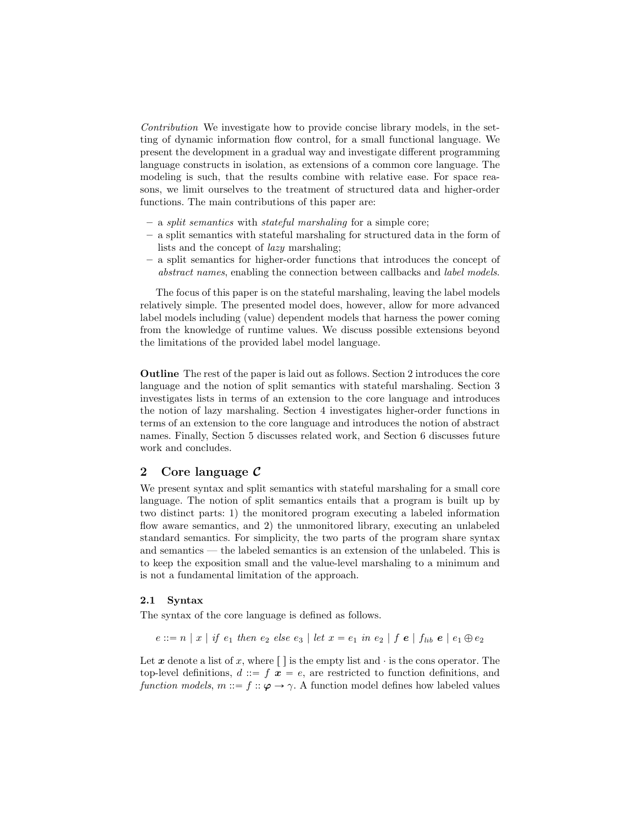Contribution We investigate how to provide concise library models, in the setting of dynamic information flow control, for a small functional language. We present the development in a gradual way and investigate different programming language constructs in isolation, as extensions of a common core language. The modeling is such, that the results combine with relative ease. For space reasons, we limit ourselves to the treatment of structured data and higher-order functions. The main contributions of this paper are:

- a split semantics with stateful marshaling for a simple core;
- a split semantics with stateful marshaling for structured data in the form of lists and the concept of lazy marshaling;
- a split semantics for higher-order functions that introduces the concept of abstract names, enabling the connection between callbacks and label models.

The focus of this paper is on the stateful marshaling, leaving the label models relatively simple. The presented model does, however, allow for more advanced label models including (value) dependent models that harness the power coming from the knowledge of runtime values. We discuss possible extensions beyond the limitations of the provided label model language.

Outline The rest of the paper is laid out as follows. Section [2](#page-2-0) introduces the core language and the notion of split semantics with stateful marshaling. Section [3](#page-7-0) investigates lists in terms of an extension to the core language and introduces the notion of lazy marshaling. Section [4](#page-13-0) investigates higher-order functions in terms of an extension to the core language and introduces the notion of abstract names. Finally, Section [5](#page-18-0) discusses related work, and Section [6](#page-19-1) discusses future work and concludes.

# <span id="page-2-0"></span>2 Core language C

We present syntax and split semantics with stateful marshaling for a small core language. The notion of split semantics entails that a program is built up by two distinct parts: 1) the monitored program executing a labeled information flow aware semantics, and 2) the unmonitored library, executing an unlabeled standard semantics. For simplicity, the two parts of the program share syntax and semantics — the labeled semantics is an extension of the unlabeled. This is to keep the exposition small and the value-level marshaling to a minimum and is not a fundamental limitation of the approach.

# 2.1 Syntax

The syntax of the core language is defined as follows.

 $e ::= n | x | if e_1 then e_2 else e_3 | let x = e_1 in e_2 | f e | f<sub>lib</sub> e | e_1 \oplus e_2$ 

Let x denote a list of x, where  $\lceil \cdot \rceil$  is the empty list and  $\cdot$  is the cons operator. The top-level definitions,  $d ::= f \mathbf{x} = e$ , are restricted to function definitions, and function models,  $m ::= f :: \varphi \rightarrow \gamma$ . A function model defines how labeled values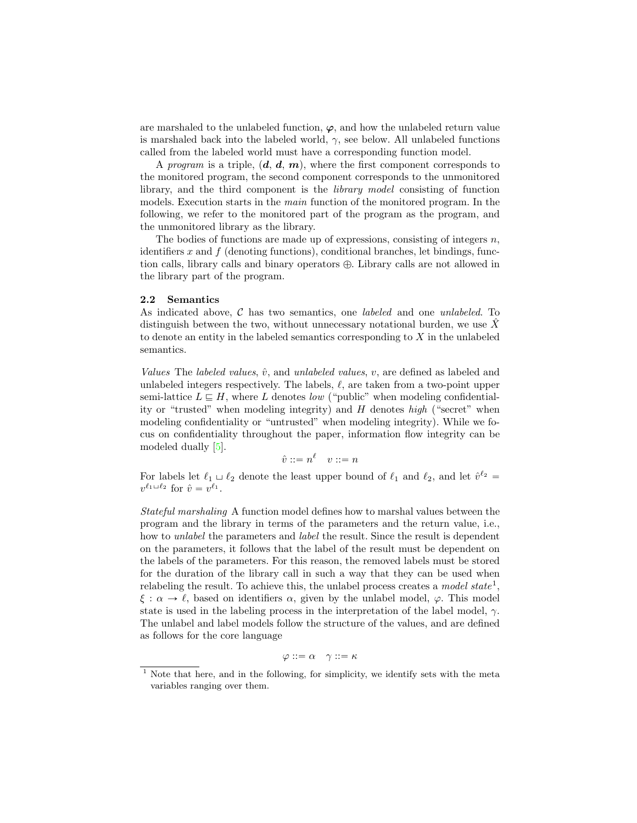are marshaled to the unlabeled function,  $\varphi$ , and how the unlabeled return value is marshaled back into the labeled world,  $\gamma$ , see below. All unlabeled functions called from the labeled world must have a corresponding function model.

A program is a triple,  $(d, d, m)$ , where the first component corresponds to the monitored program, the second component corresponds to the unmonitored library, and the third component is the library model consisting of function models. Execution starts in the main function of the monitored program. In the following, we refer to the monitored part of the program as the program, and the unmonitored library as the library.

The bodies of functions are made up of expressions, consisting of integers  $n$ , identifiers  $x$  and  $f$  (denoting functions), conditional branches, let bindings, function calls, library calls and binary operators  $\oplus$ . Library calls are not allowed in the library part of the program.

### 2.2 Semantics

As indicated above,  $\mathcal C$  has two semantics, one *labeled* and one *unlabeled*. To distinguish between the two, without unnecessary notational burden, we use  $\overline{X}$ to denote an entity in the labeled semantics corresponding to  $X$  in the unlabeled semantics.

Values The labeled values,  $\hat{v}$ , and unlabeled values,  $v$ , are defined as labeled and unlabeled integers respectively. The labels,  $\ell$ , are taken from a two-point upper semi-lattice  $L \subseteq H$ , where L denotes low ("public" when modeling confidentiality or "trusted" when modeling integrity) and  $H$  denotes  $high$  ("secret" when modeling confidentiality or "untrusted" when modeling integrity). While we focus on confidentiality throughout the paper, information flow integrity can be modeled dually [\[5\]](#page-20-14).

$$
\hat{v} ::= n^{\ell} \quad v ::= n
$$

For labels let  $\ell_1 \sqcup \ell_2$  denote the least upper bound of  $\ell_1$  and  $\ell_2$ , and let  $\hat{v}^{\ell_2}$  =  $v^{\ell_1 \sqcup \ell_2}$  for  $\hat{v} = v^{\ell_1}$ .

Stateful marshaling A function model defines how to marshal values between the program and the library in terms of the parameters and the return value, i.e., how to *unlabel* the parameters and *label* the result. Since the result is dependent on the parameters, it follows that the label of the result must be dependent on the labels of the parameters. For this reason, the removed labels must be stored for the duration of the library call in such a way that they can be used when relabeling the result. To achieve this, the unlabel process creates a model state<sup>[1](#page-3-0)</sup>,  $\xi : \alpha \to \ell$ , based on identifiers  $\alpha$ , given by the unlabel model,  $\varphi$ . This model state is used in the labeling process in the interpretation of the label model,  $\gamma$ . The unlabel and label models follow the structure of the values, and are defined as follows for the core language

$$
\varphi ::= \alpha \quad \gamma ::= \kappa
$$

<span id="page-3-0"></span><sup>&</sup>lt;sup>1</sup> Note that here, and in the following, for simplicity, we identify sets with the meta variables ranging over them.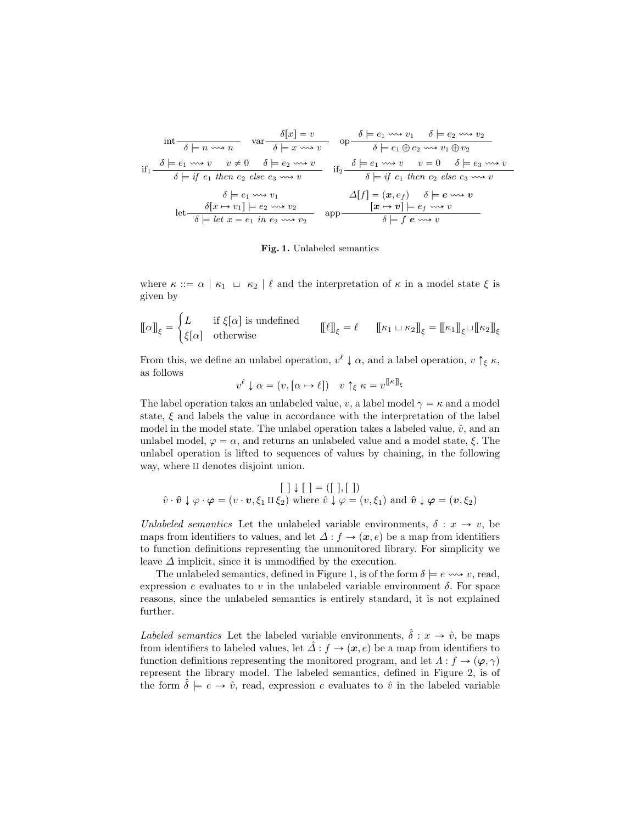$$
\text{int}\begin{array}{c}\n\text{int}\begin{array}{c}\n\delta \models n \implies n \\
\delta \models n \implies n\n\end{array} & \text{var}\begin{array}{c}\n\delta[x] = v \\
\delta \models x \implies v\n\end{array} & \text{op}\begin{array}{c}\n\delta \models e_1 \implies v_1 \\
\delta \models e_1 \oplus e_2 \implies v_1 \oplus v_2\n\end{array} \\
\text{if}_1 \begin{array}{c}\n\delta \models e_1 \implies v \\
\delta \models i f \text{ e_1 then } e_2 \text{ else } e_3 \implies v\n\end{array} & \text{if}_2 \begin{array}{c}\n\delta \models e_1 \implies v \\
\delta \models i f \text{ e_1 then } e_2 \text{ else } e_3 \implies v\n\end{array} \\
\text{if}_2 \begin{array}{c}\n\delta \models e_1 \implies v \\
\delta \models i f \text{ e_1 then } e_2 \text{ else } e_3 \implies v\n\end{array} & \text{if}_2 \begin{array}{c}\n\delta \models e_1 \implies v \\
\delta \models i f \text{ e_1 then } e_2 \text{ else } e_3 \implies v\n\end{array} \\
\text{if}_2 \begin{array}{c}\n\delta \models e_1 \implies v \\
\delta \models i f \text{ e_1 then } e_2 \text{ else } e_3 \implies v\n\end{array} & \text{if}_2 \begin{array}{c}\n\delta \models e_1 \implies v \\
\delta \models i f \text{ e_1 then } e_2 \text{ else } e_3 \implies v\n\end{array} \\
\text{if}_2 \begin{array}{c}\n\delta \models e_1 \implies v \\
\delta \models i f \text{ e_1 then } e_2 \text{ else } e_3 \implies v\n\end{array} & \text{if}_2 \begin{array}{c}\n\delta \models e_1 \implies v \\
\delta \models i f \text{ e_1 then } e_2 \text{ else } e_3 \implies v\n\end{array} & \text{if}_2 \begin{array}{c}\n\delta \models e_1 \implies v \\
\delta \models i f \text{ e_1 then } e_2 \text{ else } e_3 \implies v\n\end{array} & \text{if}_2 \begin{array}{c}\n\delta \models e_1 \implies v \\
\delta \models i f \text{ e_1 then } e_2
$$

<span id="page-4-0"></span>Fig. 1. Unlabeled semantics

where  $\kappa ::= \alpha \mid \kappa_1 \sqcup \kappa_2 \mid \ell$  and the interpretation of  $\kappa$  in a model state  $\xi$  is given by

$$
\llbracket \alpha \rrbracket_{\xi} = \begin{cases} L & \text{if } \xi[\alpha] \text{ is undefined} \\ \xi[\alpha] & \text{otherwise} \end{cases} \qquad \llbracket \ell \rrbracket_{\xi} = \ell \qquad \llbracket \kappa_1 \sqcup \kappa_2 \rrbracket_{\xi} = \llbracket \kappa_1 \rrbracket_{\xi} \sqcup \llbracket \kappa_2 \rrbracket_{\xi}
$$

From this, we define an unlabel operation,  $v^{\ell} \downarrow \alpha$ , and a label operation,  $v \uparrow_{\xi} \kappa$ , as follows

$$
v^{\ell} \downarrow \alpha = (v, [\alpha \mapsto \ell]) \quad v \uparrow_{\xi} \kappa = v^{[\![\kappa]\!]}_{\xi}
$$

The label operation takes an unlabeled value, v, a label model  $\gamma = \kappa$  and a model state,  $\xi$  and labels the value in accordance with the interpretation of the label model in the model state. The unlabel operation takes a labeled value,  $\hat{v}$ , and an unlabel model,  $\varphi = \alpha$ , and returns an unlabeled value and a model state,  $\xi$ . The unlabel operation is lifted to sequences of values by chaining, in the following way, where  $\mu$  denotes disjoint union.

$$
\begin{array}{c}\n\begin{bmatrix}\n\end{bmatrix}\downarrow \begin{bmatrix}\n\end{bmatrix} = (\begin{bmatrix}\n\end{bmatrix}, \begin{bmatrix}\n\end{bmatrix}) \\
\hat{v} \cdot \hat{v} \downarrow \varphi \cdot \varphi = (v \cdot v, \xi_1 \amalg \xi_2) \text{ where } \hat{v} \downarrow \varphi = (v, \xi_1) \text{ and } \hat{v} \downarrow \varphi = (v, \xi_2)\n\end{array}
$$

Unlabeled semantics Let the unlabeled variable environments,  $\delta: x \to v$ , be maps from identifiers to values, and let  $\Delta : f \to (\mathbf{x}, e)$  be a map from identifiers to function definitions representing the unmonitored library. For simplicity we leave  $\Delta$  implicit, since it is unmodified by the execution.

The unlabeled semantics, defined in Figure [1,](#page-4-0) is of the form  $\delta \models e \leadsto v$ , read, expression e evaluates to v in the unlabeled variable environment  $\delta$ . For space reasons, since the unlabeled semantics is entirely standard, it is not explained further.

Labeled semantics Let the labeled variable environments,  $\hat{\delta}: x \to \hat{v}$ , be maps from identifiers to labeled values, let  $\hat{\Delta}: f \to (\mathbf{x}, e)$  be a map from identifiers to function definitions representing the monitored program, and let  $\Lambda : f \to (\varphi, \gamma)$ represent the library model. The labeled semantics, defined in Figure [2,](#page-5-0) is of the form  $\hat{\delta} \models e \rightarrow \hat{v}$ , read, expression e evaluates to  $\hat{v}$  in the labeled variable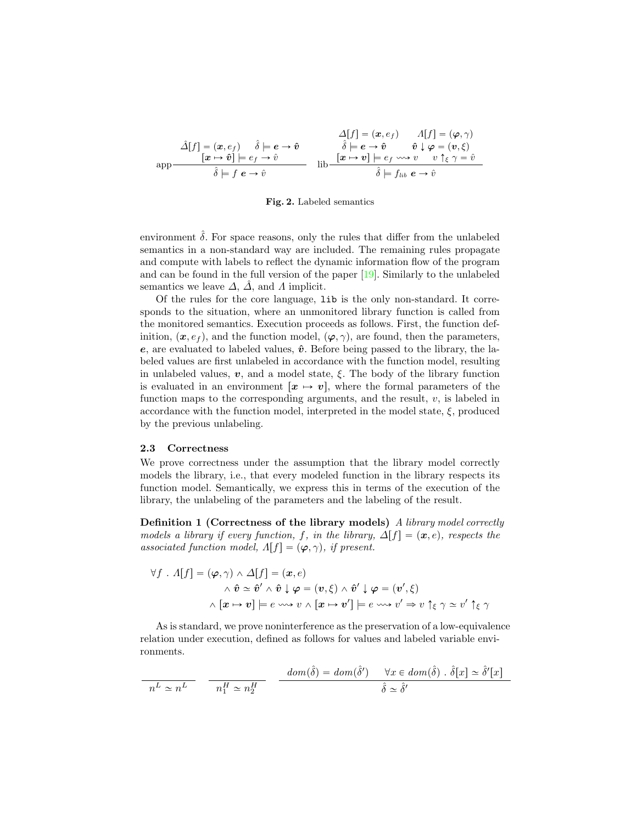$$
\hat{\Delta}[f] = (\mathbf{x}, e_f) \quad \hat{\delta} \models e \rightarrow \hat{\mathbf{v}} \quad \hat{\delta} \models e \rightarrow \hat{\mathbf{v}} \quad \hat{\delta} \models e \rightarrow \hat{\mathbf{v}} \quad \hat{\delta} \models e \rightarrow \hat{\mathbf{v}} \quad \hat{\delta} \models e \rightarrow \hat{\mathbf{v}} \quad \hat{\mathbf{v}} \downarrow \varphi = (\mathbf{v}, \xi)
$$
\n
$$
\text{app} \frac{[\mathbf{x} \rightarrow \hat{\mathbf{v}}] \models e_f \rightarrow \hat{\mathbf{v}}}{\hat{\delta} \models f \mathbf{e} \rightarrow \hat{\mathbf{v}}} \quad \text{lib} \frac{[\mathbf{x} \rightarrow \mathbf{v}] \models e_f \lor \mathbf{v} \lor \mathbf{v} \uparrow_{\xi} \gamma = \hat{\mathbf{v}}}{\hat{\delta} \models f_{\text{lib}} \mathbf{e} \rightarrow \hat{\mathbf{v}}}
$$

<span id="page-5-0"></span>Fig. 2. Labeled semantics

environment  $\hat{\delta}$ . For space reasons, only the rules that differ from the unlabeled semantics in a non-standard way are included. The remaining rules propagate and compute with labels to reflect the dynamic information flow of the program and can be found in the full version of the paper [\[19\]](#page-20-15). Similarly to the unlabeled semantics we leave  $\Delta$ ,  $\hat{\Delta}$ , and  $\Lambda$  implicit.

Of the rules for the core language, lib is the only non-standard. It corresponds to the situation, where an unmonitored library function is called from the monitored semantics. Execution proceeds as follows. First, the function definition,  $(\mathbf{x}, e_f)$ , and the function model,  $(\varphi, \gamma)$ , are found, then the parameters, e, are evaluated to labeled values,  $\hat{v}$ . Before being passed to the library, the labeled values are first unlabeled in accordance with the function model, resulting in unlabeled values,  $v$ , and a model state,  $\xi$ . The body of the library function is evaluated in an environment  $\left[x \mapsto v\right]$ , where the formal parameters of the function maps to the corresponding arguments, and the result,  $v$ , is labeled in accordance with the function model, interpreted in the model state,  $\xi$ , produced by the previous unlabeling.

#### <span id="page-5-2"></span>2.3 Correctness

We prove correctness under the assumption that the library model correctly models the library, i.e., that every modeled function in the library respects its function model. Semantically, we express this in terms of the execution of the library, the unlabeling of the parameters and the labeling of the result.

<span id="page-5-1"></span>Definition 1 (Correctness of the library models) A library model correctly models a library if every function, f, in the library,  $\Delta[f] = (x, e)$ , respects the associated function model,  $\Lambda[f] = (\varphi, \gamma)$ , if present.

$$
\forall f \; . \; A[f] = (\varphi, \gamma) \land \Delta[f] = (\boldsymbol{x}, e)
$$

$$
\land \hat{\boldsymbol{v}} \simeq \hat{\boldsymbol{v}}' \land \hat{\boldsymbol{v}} \downarrow \varphi = (\boldsymbol{v}, \xi) \land \hat{\boldsymbol{v}}' \downarrow \varphi = (\boldsymbol{v}', \xi)
$$

$$
\land [\boldsymbol{x} \mapsto \boldsymbol{v}] \models e \leadsto v \land [\boldsymbol{x} \mapsto \boldsymbol{v}'] \models e \leadsto v' \Rightarrow v \uparrow_{\xi} \gamma \simeq v' \uparrow_{\xi} \gamma
$$

As is standard, we prove noninterference as the preservation of a low-equivalence relation under execution, defined as follows for values and labeled variable environments.

$$
\frac{n^L \simeq n^L}{n_1^H \simeq n_2^H} \quad \frac{dom(\hat{\delta}) = dom(\hat{\delta}') \quad \forall x \in dom(\hat{\delta}) \quad \hat{\delta}[x] \simeq \hat{\delta}'[x]
$$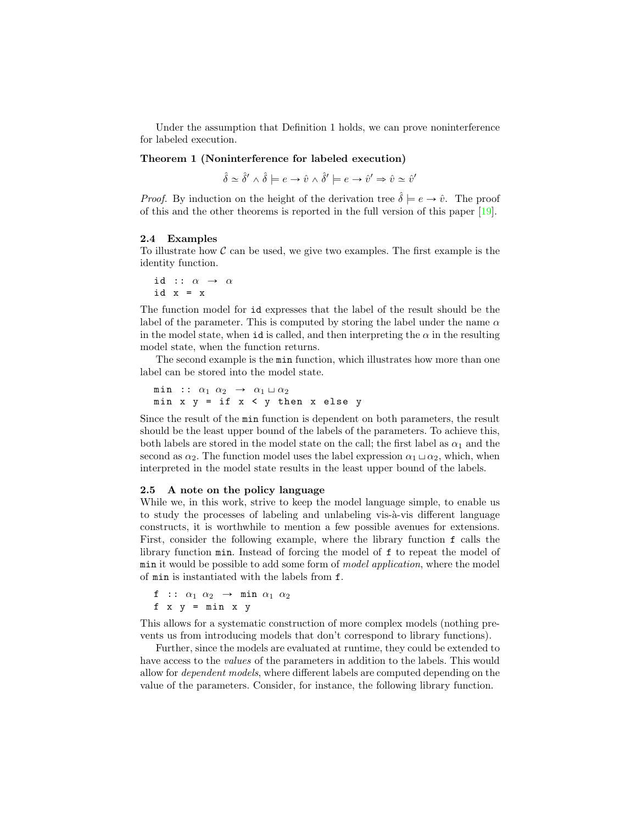Under the assumption that Definition [1](#page-5-1) holds, we can prove noninterference for labeled execution.

### Theorem 1 (Noninterference for labeled execution)

 $\hat{\delta} \simeq \hat{\delta}' \wedge \hat{\delta} \models e \rightarrow \hat{v} \wedge \hat{\delta}' \models e \rightarrow \hat{v}' \Rightarrow \hat{v} \simeq \hat{v}'$ 

*Proof.* By induction on the height of the derivation tree  $\hat{\delta} \models e \rightarrow \hat{v}$ . The proof of this and the other theorems is reported in the full version of this paper [\[19\]](#page-20-15).

#### 2.4 Examples

To illustrate how  $\mathcal C$  can be used, we give two examples. The first example is the identity function.

id ::  $\alpha \rightarrow \alpha$ id  $x = x$ 

The function model for id expresses that the label of the result should be the label of the parameter. This is computed by storing the label under the name  $\alpha$ in the model state, when id is called, and then interpreting the  $\alpha$  in the resulting model state, when the function returns.

The second example is the min function, which illustrates how more than one label can be stored into the model state.

```
min :: \alpha_1 \alpha_2 \rightarrow \alpha_1 \sqcup \alpha_2min x \ y = if x \ < y then x else y
```
Since the result of the min function is dependent on both parameters, the result should be the least upper bound of the labels of the parameters. To achieve this, both labels are stored in the model state on the call; the first label as  $\alpha_1$  and the second as  $\alpha_2$ . The function model uses the label expression  $\alpha_1 \sqcup \alpha_2$ , which, when interpreted in the model state results in the least upper bound of the labels.

### <span id="page-6-0"></span>2.5 A note on the policy language

While we, in this work, strive to keep the model language simple, to enable us to study the processes of labeling and unlabeling vis- $\grave{a}$ -vis different language constructs, it is worthwhile to mention a few possible avenues for extensions. First, consider the following example, where the library function f calls the library function min. Instead of forcing the model of f to repeat the model of min it would be possible to add some form of *model application*, where the model of min is instantiated with the labels from f.

```
f :: \alpha_1 \alpha_2 \rightarrow \min \alpha_1 \alpha_2f \times y = min \times y
```
This allows for a systematic construction of more complex models (nothing prevents us from introducing models that don't correspond to library functions).

Further, since the models are evaluated at runtime, they could be extended to have access to the values of the parameters in addition to the labels. This would allow for dependent models, where different labels are computed depending on the value of the parameters. Consider, for instance, the following library function.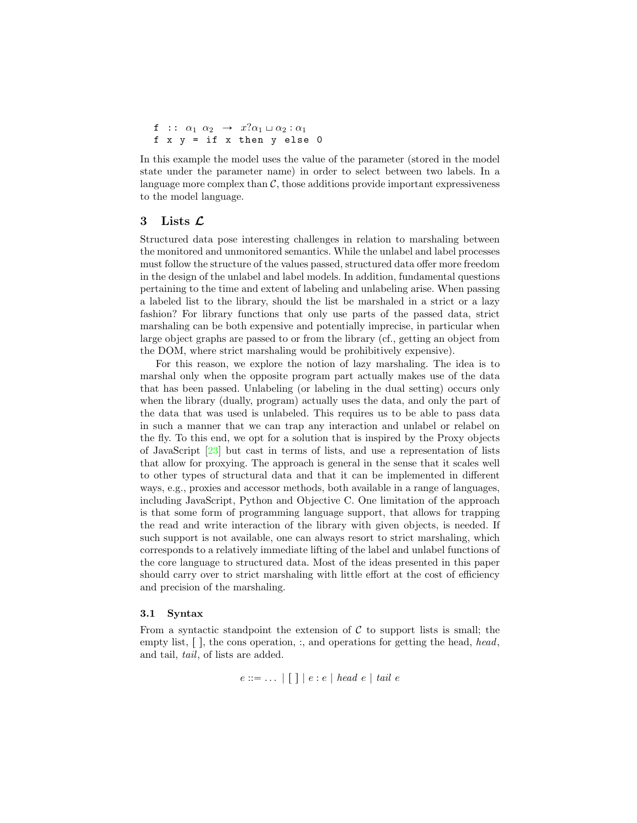f ::  $\alpha_1 \alpha_2 \rightarrow x? \alpha_1 \sqcup \alpha_2 : \alpha_1$  $f$  x  $y = if$  x then  $y$  else 0

In this example the model uses the value of the parameter (stored in the model state under the parameter name) in order to select between two labels. In a language more complex than  $\mathcal{C}$ , those additions provide important expressiveness to the model language.

# <span id="page-7-0"></span>3 Lists  $\mathcal{L}$

Structured data pose interesting challenges in relation to marshaling between the monitored and unmonitored semantics. While the unlabel and label processes must follow the structure of the values passed, structured data offer more freedom in the design of the unlabel and label models. In addition, fundamental questions pertaining to the time and extent of labeling and unlabeling arise. When passing a labeled list to the library, should the list be marshaled in a strict or a lazy fashion? For library functions that only use parts of the passed data, strict marshaling can be both expensive and potentially imprecise, in particular when large object graphs are passed to or from the library (cf., getting an object from the DOM, where strict marshaling would be prohibitively expensive).

For this reason, we explore the notion of lazy marshaling. The idea is to marshal only when the opposite program part actually makes use of the data that has been passed. Unlabeling (or labeling in the dual setting) occurs only when the library (dually, program) actually uses the data, and only the part of the data that was used is unlabeled. This requires us to be able to pass data in such a manner that we can trap any interaction and unlabel or relabel on the fly. To this end, we opt for a solution that is inspired by the Proxy objects of JavaScript [\[23\]](#page-20-16) but cast in terms of lists, and use a representation of lists that allow for proxying. The approach is general in the sense that it scales well to other types of structural data and that it can be implemented in different ways, e.g., proxies and accessor methods, both available in a range of languages, including JavaScript, Python and Objective C. One limitation of the approach is that some form of programming language support, that allows for trapping the read and write interaction of the library with given objects, is needed. If such support is not available, one can always resort to strict marshaling, which corresponds to a relatively immediate lifting of the label and unlabel functions of the core language to structured data. Most of the ideas presented in this paper should carry over to strict marshaling with little effort at the cost of efficiency and precision of the marshaling.

#### 3.1 Syntax

From a syntactic standpoint the extension of  $\mathcal C$  to support lists is small; the empty list,  $\lceil \cdot \rceil$ , the cons operation, :, and operations for getting the head, head, and tail, tail, of lists are added.

 $e ::= \dots | \lceil \rceil | e : e | \text{ head } e | \text{ tail } e$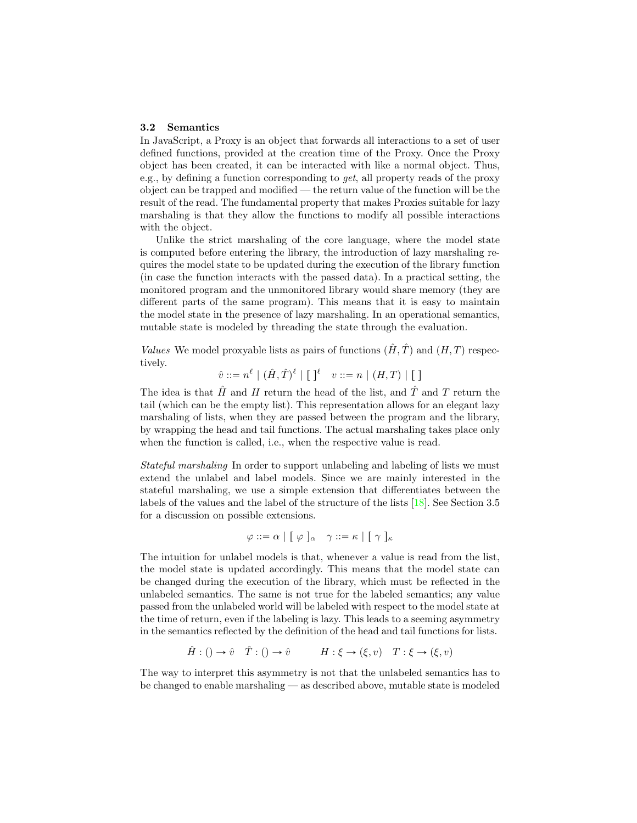#### 3.2 Semantics

In JavaScript, a Proxy is an object that forwards all interactions to a set of user defined functions, provided at the creation time of the Proxy. Once the Proxy object has been created, it can be interacted with like a normal object. Thus, e.g., by defining a function corresponding to get, all property reads of the proxy object can be trapped and modified — the return value of the function will be the result of the read. The fundamental property that makes Proxies suitable for lazy marshaling is that they allow the functions to modify all possible interactions with the object.

Unlike the strict marshaling of the core language, where the model state is computed before entering the library, the introduction of lazy marshaling requires the model state to be updated during the execution of the library function (in case the function interacts with the passed data). In a practical setting, the monitored program and the unmonitored library would share memory (they are different parts of the same program). This means that it is easy to maintain the model state in the presence of lazy marshaling. In an operational semantics, mutable state is modeled by threading the state through the evaluation.

Values We model proxyable lists as pairs of functions  $(\hat{H}, \hat{T})$  and  $(H, T)$  respectively.

 $\hat{v}::=n^{\ell}\mid (\hat{H}, \hat{T})^{\ell}\mid [~]^\ell \quad v::=n\mid (H,T)\mid [~]$ 

The idea is that  $\hat{H}$  and H return the head of the list, and  $\hat{T}$  and T return the tail (which can be the empty list). This representation allows for an elegant lazy marshaling of lists, when they are passed between the program and the library, by wrapping the head and tail functions. The actual marshaling takes place only when the function is called, i.e., when the respective value is read.

Stateful marshaling In order to support unlabeling and labeling of lists we must extend the unlabel and label models. Since we are mainly interested in the stateful marshaling, we use a simple extension that differentiates between the labels of the values and the label of the structure of the lists [\[18\]](#page-20-2). See Section [3.5](#page-12-0) for a discussion on possible extensions.

$$
\varphi ::= \alpha \mid [\varphi]_{\alpha} \quad \gamma ::= \kappa \mid [\gamma]_{\kappa}
$$

The intuition for unlabel models is that, whenever a value is read from the list, the model state is updated accordingly. This means that the model state can be changed during the execution of the library, which must be reflected in the unlabeled semantics. The same is not true for the labeled semantics; any value passed from the unlabeled world will be labeled with respect to the model state at the time of return, even if the labeling is lazy. This leads to a seeming asymmetry in the semantics reflected by the definition of the head and tail functions for lists.

$$
\hat{H}:()\to \hat{v} \quad \hat{T}:()\to \hat{v} \qquad \quad H:\xi\to (\xi,v) \quad T:\xi\to (\xi,v)
$$

The way to interpret this asymmetry is not that the unlabeled semantics has to be changed to enable marshaling — as described above, mutable state is modeled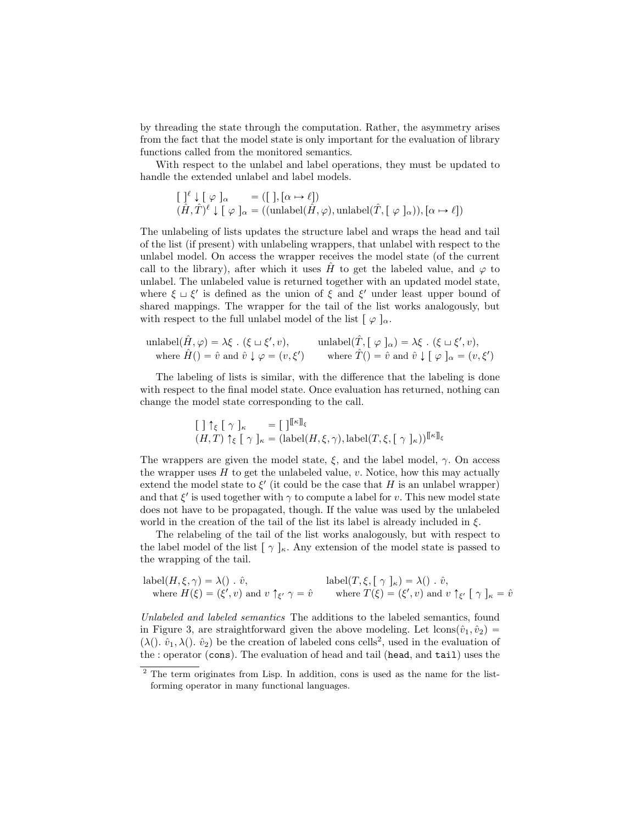by threading the state through the computation. Rather, the asymmetry arises from the fact that the model state is only important for the evaluation of library functions called from the monitored semantics.

With respect to the unlabel and label operations, they must be updated to handle the extended unlabel and label models.

$$
\begin{array}{ll}\n\left[\begin{array}{l}\n\end{array}\right]^{\ell} \downarrow \left[\begin{array}{l}\n\varphi\n\end{array}\right]_{\alpha} & = \left(\left[\begin{array}{l}\n\end{array}\right], \left[\alpha \mapsto \ell\right]\right) \\
(\hat{H}, \hat{T})^{\ell} \downarrow \left[\begin{array}{l}\n\varphi\n\end{array}\right]_{\alpha} = \left((\text{unlabel}(\hat{H}, \varphi), \text{unlabel}(\hat{T}, \left[\begin{array}{l}\n\varphi\n\end{array}\right]_{\alpha})\right), \left[\alpha \mapsto \ell\right]\right)\n\end{array}
$$

The unlabeling of lists updates the structure label and wraps the head and tail of the list (if present) with unlabeling wrappers, that unlabel with respect to the unlabel model. On access the wrapper receives the model state (of the current call to the library), after which it uses  $\hat{H}$  to get the labeled value, and  $\varphi$  to unlabel. The unlabeled value is returned together with an updated model state, where  $\xi \sqcup \xi'$  is defined as the union of  $\xi$  and  $\xi'$  under least upper bound of shared mappings. The wrapper for the tail of the list works analogously, but with respect to the full unlabel model of the list  $\lceil \varphi \rceil_{\alpha}$ .

$$
\text{unlabel} (\hat{H}, \varphi) = \lambda \xi \cdot (\xi \sqcup \xi', v), \qquad \text{unlabel} (\hat{T}, [\varphi]_\alpha) = \lambda \xi \cdot (\xi \sqcup \xi', v),
$$
\n
$$
\text{where } \hat{H}() = \hat{v} \text{ and } \hat{v} \downarrow \varphi = (v, \xi') \qquad \text{where } \hat{T}() = \hat{v} \text{ and } \hat{v} \downarrow [\varphi]_\alpha = (v, \xi')
$$

The labeling of lists is similar, with the difference that the labeling is done with respect to the final model state. Once evaluation has returned, nothing can change the model state corresponding to the call.

$$
\begin{aligned}\n\left[\begin{array}{c}\n\end{array}\right] \uparrow_{\xi} \left[\begin{array}{c}\n\gamma \end{array}\right]_{\kappa} &= \left[\begin{array}{c}\n\end{array}\right]^{\llbracket \kappa \rrbracket_{\xi}} \\
(H, T) \uparrow_{\xi} \left[\begin{array}{c}\n\gamma \end{array}\right]_{\kappa} &= (\text{label}(H, \xi, \gamma), \text{label}(T, \xi, [\begin{array}{c}\n\gamma \end{array}]_{\kappa}))^{\llbracket \kappa \rrbracket_{\xi}\n\end{aligned}
$$

The wrappers are given the model state,  $\xi$ , and the label model,  $\gamma$ . On access the wrapper uses  $H$  to get the unlabeled value,  $v$ . Notice, how this may actually extend the model state to  $\xi'$  (it could be the case that H is an unlabel wrapper) and that  $\xi'$  is used together with  $\gamma$  to compute a label for v. This new model state does not have to be propagated, though. If the value was used by the unlabeled world in the creation of the tail of the list its label is already included in  $\xi$ .

The relabeling of the tail of the list works analogously, but with respect to the label model of the list  $[\gamma]_{\kappa}$ . Any extension of the model state is passed to the wrapping of the tail.

$$
label(H, \xi, \gamma) = \lambda() \cdot \hat{v},
$$
  
where  $H(\xi) = (\xi', v)$  and  $v \uparrow_{\xi'} \gamma = \hat{v}$  where  $T(\xi) = (\xi', v)$  and  $v \uparrow_{\xi'} [\gamma]_{\kappa} = \hat{v}$ 

Unlabeled and labeled semantics The additions to the labeled semantics, found in Figure [3,](#page-10-0) are straightforward given the above modeling. Let  $lcons(\hat{v}_1, \hat{v}_2)$  $(\lambda)$ .  $\hat{v}_1, \lambda)$ .  $\hat{v}_2$  $\hat{v}_2$  be the creation of labeled cons cells<sup>2</sup>, used in the evaluation of the : operator (cons). The evaluation of head and tail (head, and tail) uses the

<span id="page-9-0"></span><sup>&</sup>lt;sup>2</sup> The term originates from Lisp. In addition, cons is used as the name for the listforming operator in many functional languages.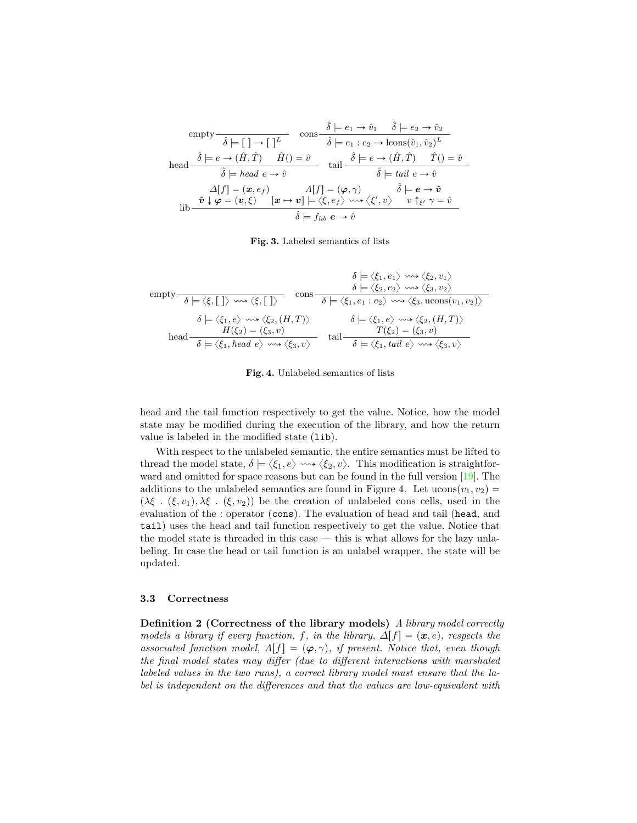empty 
$$
\frac{\hat{\delta} \models e_1 \rightarrow \hat{v}_1 \quad \hat{\delta} \models e_2 \rightarrow \hat{v}_2}{\hat{\delta} \models e_1 \rightarrow [\hat{f}]} \quad \text{cons } \frac{\hat{\delta} \models e_1 \rightarrow \hat{v}_1 \quad \hat{\delta} \models e_2 \rightarrow \hat{v}_2}{\hat{\delta} \models e \rightarrow (\hat{H}, \hat{T}) \quad \hat{H}() = \hat{v}} \quad \text{tail} \frac{\hat{\delta} \models e \rightarrow (\hat{H}, \hat{T}) \quad \hat{T}(0) = \hat{v}}{\hat{\delta} \models head \ e \rightarrow \hat{v}} \quad \text{tail} \frac{\hat{\delta} \models e \rightarrow (\hat{H}, \hat{T}) \quad \hat{T}(0) = \hat{v}}{\hat{\delta} \models tail \ e \rightarrow \hat{v}} \quad \text{Alf} = (\pmb{x}, e_f) \quad \text{Alf} = (\pmb{\varphi}, \gamma) \quad \hat{\delta} \models e \rightarrow \pmb{\hat{v}} \quad \text{lib} \frac{\pmb{\hat{v}} \downarrow \pmb{\varphi} = (\pmb{v}, \xi) \quad [\pmb{x} \mapsto \pmb{v}] \models \langle \xi, e_f \rangle \sim \sqrt{\langle \xi', v \rangle} \quad v \uparrow_{\xi'} \gamma = \hat{v}}{\hat{\delta} \models f_{lib} \ e \rightarrow \hat{v}}
$$

<span id="page-10-0"></span>Fig. 3. Labeled semantics of lists

$$
\delta \models \langle \xi_1, e_1 \rangle \leadsto \langle \xi_2, v_1 \rangle
$$
  
\n
$$
\delta \models \langle \xi_1, e_1 \rangle \leadsto \langle \xi_2, e_2 \rangle \leadsto \langle \xi_3, v_2 \rangle
$$
  
\n
$$
\delta \models \langle \xi_1, e \rangle \leadsto \langle \xi, [\ ] \rangle
$$
  
\n
$$
\delta \models \langle \xi_1, e \rangle \leadsto \langle \xi_2, (H, T) \rangle
$$
  
\n
$$
\delta \models \langle \xi_1, e \rangle \leadsto \langle \xi_2, (H, T) \rangle
$$
  
\nhead  
\n
$$
\frac{H(\xi_2) = (\xi_3, v)}{\delta \models \langle \xi_1, head \ e \rangle \leadsto \langle \xi_3, v \rangle}
$$
  
\ntail  
\n
$$
\frac{T(\xi_2) = (\xi_3, v)}{\delta \models \langle \xi_1, tail \ e \rangle \leadsto \langle \xi_3, v \rangle}
$$

<span id="page-10-1"></span>Fig. 4. Unlabeled semantics of lists

head and the tail function respectively to get the value. Notice, how the model state may be modified during the execution of the library, and how the return value is labeled in the modified state (lib).

With respect to the unlabeled semantic, the entire semantics must be lifted to thread the model state,  $\delta \models \langle \xi_1, e \rangle \leadsto \langle \xi_2, v \rangle$ . This modification is straightforward and omitted for space reasons but can be found in the full version [\[19\]](#page-20-15). The additions to the unlabeled semantics are found in Figure [4.](#page-10-1) Let  $ucons(v_1, v_2)$  $(\lambda \xi \cdot (\xi, v_1), \lambda \xi \cdot (\xi, v_2))$  be the creation of unlabeled cons cells, used in the evaluation of the : operator (cons). The evaluation of head and tail (head, and tail) uses the head and tail function respectively to get the value. Notice that the model state is threaded in this case — this is what allows for the lazy unlabeling. In case the head or tail function is an unlabel wrapper, the state will be updated.

### 3.3 Correctness

<span id="page-10-2"></span>Definition 2 (Correctness of the library models) A library model correctly models a library if every function, f, in the library,  $\Delta[f] = (\mathbf{x}, e)$ , respects the associated function model,  $\Lambda[f] = (\varphi, \gamma)$ , if present. Notice that, even though the final model states may differ (due to different interactions with marshaled labeled values in the two runs), a correct library model must ensure that the label is independent on the differences and that the values are low-equivalent with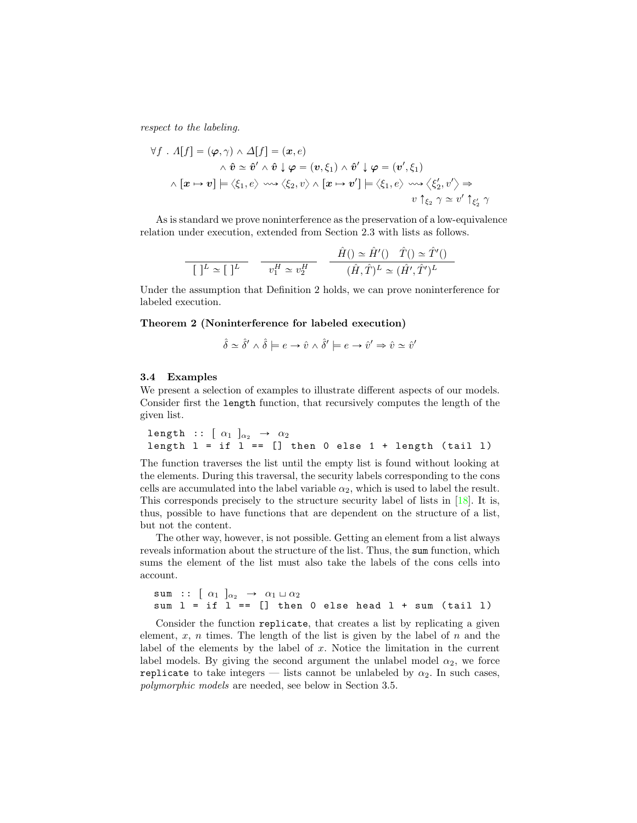respect to the labeling.

$$
\forall f \, . \, A[f] = (\varphi, \gamma) \land \Delta[f] = (\boldsymbol{x}, e)
$$
  

$$
\land \hat{\boldsymbol{v}} \simeq \hat{\boldsymbol{v}}' \land \hat{\boldsymbol{v}} \downarrow \varphi = (\boldsymbol{v}, \xi_1) \land \hat{\boldsymbol{v}}' \downarrow \varphi = (\boldsymbol{v}', \xi_1)
$$
  

$$
\land [\boldsymbol{x} \mapsto \boldsymbol{v}] \models \langle \xi_1, e \rangle \leadsto \langle \xi_2, v \rangle \land [\boldsymbol{x} \mapsto \boldsymbol{v}'] \models \langle \xi_1, e \rangle \leadsto \langle \xi_2', v' \rangle \Rightarrow
$$
  

$$
v \uparrow_{\xi_2} \gamma \simeq v' \uparrow_{\xi_2'} \gamma
$$

As is standard we prove noninterference as the preservation of a low-equivalence relation under execution, extended from Section [2.3](#page-5-2) with lists as follows.

$$
\begin{array}{ccccc} & & \hat{H}() \simeq \hat{H}'() & \hat{T}() \simeq \hat{T}'() \\ \hline & & v_1^H \simeq v_2^H & & (\hat{H}, \hat{T})^L \simeq (\hat{H}', \hat{T}')^L \end{array}
$$

Under the assumption that Definition [2](#page-10-2) holds, we can prove noninterference for labeled execution.

#### Theorem 2 (Noninterference for labeled execution)

$$
\hat{\delta} \simeq \hat{\delta}' \wedge \hat{\delta} \models e \to \hat{v} \wedge \hat{\delta}' \models e \to \hat{v}' \Rightarrow \hat{v} \simeq \hat{v}'
$$

#### 3.4 Examples

We present a selection of examples to illustrate different aspects of our models. Consider first the length function, that recursively computes the length of the given list.

```
length :: [\alpha_1]_{\alpha_2} \rightarrow \alpha_2length l = if l == [] then 0 else 1 + length (tail 1)
```
The function traverses the list until the empty list is found without looking at the elements. During this traversal, the security labels corresponding to the cons cells are accumulated into the label variable  $\alpha_2$ , which is used to label the result. This corresponds precisely to the structure security label of lists in [\[18\]](#page-20-2). It is, thus, possible to have functions that are dependent on the structure of a list, but not the content.

The other way, however, is not possible. Getting an element from a list always reveals information about the structure of the list. Thus, the sum function, which sums the element of the list must also take the labels of the cons cells into account.

```
sum :: [\alpha_1]_{\alpha_2} \rightarrow \alpha_1 \sqcup \alpha_2sum l = if l == [] then 0 else head l + sum (tail l)
```
Consider the function replicate, that creates a list by replicating a given element, x, n times. The length of the list is given by the label of n and the label of the elements by the label of  $x$ . Notice the limitation in the current label models. By giving the second argument the unlabel model  $\alpha_2$ , we force replicate to take integers — lists cannot be unlabeled by  $\alpha_2$ . In such cases, polymorphic models are needed, see below in Section [3.5.](#page-12-0)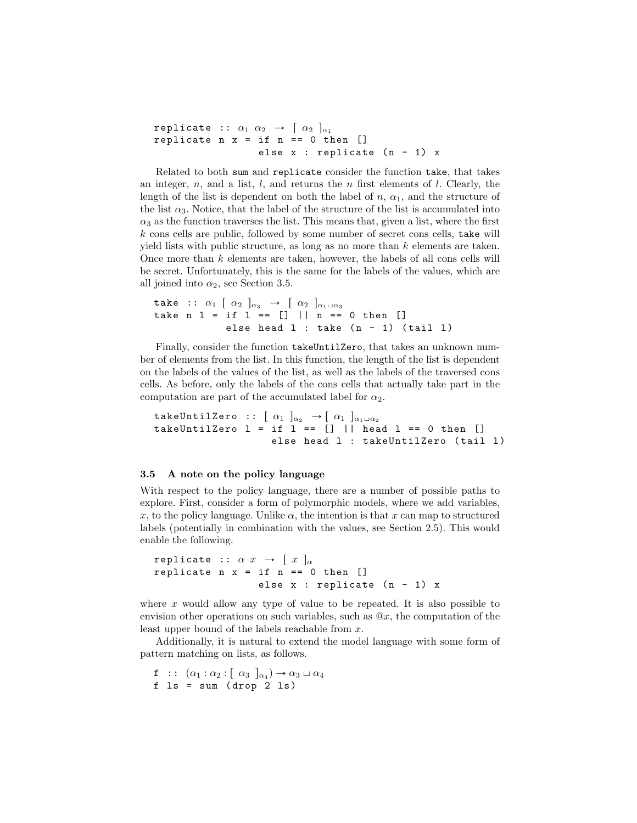```
replicate :: \alpha_1 \alpha_2 \rightarrow |\alpha_2|_{\alpha_1}replicate n \times = if n == 0 then []else x : replicate (n - 1) x
```
Related to both sum and replicate consider the function take, that takes an integer,  $n$ , and a list,  $l$ , and returns the  $n$  first elements of  $l$ . Clearly, the length of the list is dependent on both the label of n,  $\alpha_1$ , and the structure of the list  $\alpha_3$ . Notice, that the label of the structure of the list is accumulated into  $\alpha_3$  as the function traverses the list. This means that, given a list, where the first  $k$  cons cells are public, followed by some number of secret cons cells, take will yield lists with public structure, as long as no more than  $k$  elements are taken. Once more than k elements are taken, however, the labels of all cons cells will be secret. Unfortunately, this is the same for the labels of the values, which are all joined into  $\alpha_2$ , see Section [3.5.](#page-12-0)

```
take :: \alpha_1 \alpha_2 \alpha_3 \rightarrow \alpha_2 \alpha_1 \alpha_3take n 1 = if 1 == [] || n == 0 then []else head l : take (n - 1) (tail l)
```
Finally, consider the function takeUntilZero, that takes an unknown number of elements from the list. In this function, the length of the list is dependent on the labels of the values of the list, as well as the labels of the traversed cons cells. As before, only the labels of the cons cells that actually take part in the computation are part of the accumulated label for  $\alpha_2$ .

takeUntilZero ::  $[\alpha_1]_{\alpha_2} \rightarrow [\alpha_1]_{\alpha_1 \sqcup \alpha_2}$  $takeUnit1Zero 1 = if 1 == [] || head 1 == 0 then []$ else head 1 : takeUntilZero (tail 1)

# <span id="page-12-0"></span>3.5 A note on the policy language

With respect to the policy language, there are a number of possible paths to explore. First, consider a form of polymorphic models, where we add variables, x, to the policy language. Unlike  $\alpha$ , the intention is that x can map to structured labels (potentially in combination with the values, see Section [2.5\)](#page-6-0). This would enable the following.

```
replicate :: \alpha x \rightarrow [x]_{\alpha}replicate n \times = if n == 0 then []else x : replicate (n - 1) x
```
where  $x$  would allow any type of value to be repeated. It is also possible to envision other operations on such variables, such as  $@x$ , the computation of the least upper bound of the labels reachable from x.

Additionally, it is natural to extend the model language with some form of pattern matching on lists, as follows.

 $f : : (\alpha_1 : \alpha_2 : [\alpha_3]_{\alpha_4}) \rightarrow \alpha_3 \sqcup \alpha_4$  $f$  ls = sum (drop 2 ls)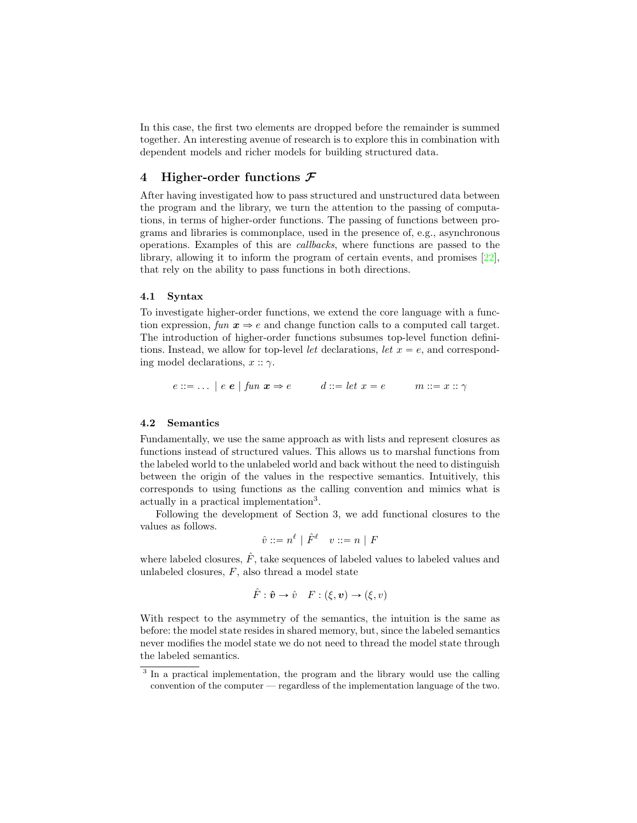In this case, the first two elements are dropped before the remainder is summed together. An interesting avenue of research is to explore this in combination with dependent models and richer models for building structured data.

# <span id="page-13-0"></span>4 Higher-order functions  $\mathcal F$

After having investigated how to pass structured and unstructured data between the program and the library, we turn the attention to the passing of computations, in terms of higher-order functions. The passing of functions between programs and libraries is commonplace, used in the presence of, e.g., asynchronous operations. Examples of this are callbacks, where functions are passed to the library, allowing it to inform the program of certain events, and promises [\[22\]](#page-20-13), that rely on the ability to pass functions in both directions.

#### 4.1 Syntax

To investigate higher-order functions, we extend the core language with a function expression, fun  $x \to e$  and change function calls to a computed call target. The introduction of higher-order functions subsumes top-level function definitions. Instead, we allow for top-level let declarations, let  $x = e$ , and corresponding model declarations,  $x :: \gamma$ .

$$
e ::= \dots \mid e \ e \mid \text{fun} \ x \Rightarrow e \qquad d ::= \text{let} \ x = e \qquad m ::= x :: \gamma
$$

# 4.2 Semantics

Fundamentally, we use the same approach as with lists and represent closures as functions instead of structured values. This allows us to marshal functions from the labeled world to the unlabeled world and back without the need to distinguish between the origin of the values in the respective semantics. Intuitively, this corresponds to using functions as the calling convention and mimics what is actually in a practical implementation<sup>[3](#page-13-1)</sup>.

Following the development of Section [3,](#page-7-0) we add functional closures to the values as follows.

$$
\hat{v} ::= n^{\ell} \mid \hat{F}^{\ell} \quad v ::= n \mid F
$$

where labeled closures,  $\hat{F}$ , take sequences of labeled values to labeled values and unlabeled closures,  $F$ , also thread a model state

$$
\hat{F}: \hat{\boldsymbol{v}} \to \hat{v} \quad F: (\xi, \boldsymbol{v}) \to (\xi, v)
$$

With respect to the asymmetry of the semantics, the intuition is the same as before: the model state resides in shared memory, but, since the labeled semantics never modifies the model state we do not need to thread the model state through the labeled semantics.

<span id="page-13-1"></span><sup>&</sup>lt;sup>3</sup> In a practical implementation, the program and the library would use the calling convention of the computer — regardless of the implementation language of the two.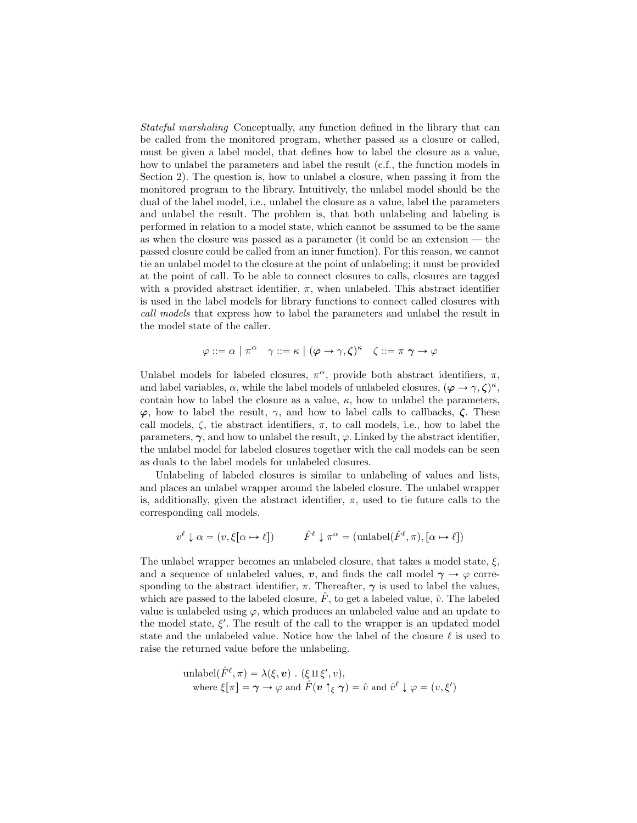Stateful marshaling Conceptually, any function defined in the library that can be called from the monitored program, whether passed as a closure or called, must be given a label model, that defines how to label the closure as a value, how to unlabel the parameters and label the result (c.f., the function models in Section [2\)](#page-2-0). The question is, how to unlabel a closure, when passing it from the monitored program to the library. Intuitively, the unlabel model should be the dual of the label model, i.e., unlabel the closure as a value, label the parameters and unlabel the result. The problem is, that both unlabeling and labeling is performed in relation to a model state, which cannot be assumed to be the same as when the closure was passed as a parameter (it could be an extension — the passed closure could be called from an inner function). For this reason, we cannot tie an unlabel model to the closure at the point of unlabeling; it must be provided at the point of call. To be able to connect closures to calls, closures are tagged with a provided abstract identifier,  $\pi$ , when unlabeled. This abstract identifier is used in the label models for library functions to connect called closures with call models that express how to label the parameters and unlabel the result in the model state of the caller.

$$
\varphi ::= \alpha \mid \pi^{\alpha} \quad \gamma ::= \kappa \mid (\varphi \rightarrow \gamma, \zeta)^{\kappa} \quad \zeta ::= \pi \; \gamma \rightarrow \varphi
$$

Unlabel models for labeled closures,  $\pi^{\alpha}$ , provide both abstract identifiers,  $\pi$ , and label variables,  $\alpha$ , while the label models of unlabeled closures,  $(\varphi \to \gamma, \zeta)^{\kappa}$ , contain how to label the closure as a value,  $\kappa$ , how to unlabel the parameters,  $\varphi$ , how to label the result,  $\gamma$ , and how to label calls to callbacks,  $\zeta$ . These call models,  $\zeta$ , tie abstract identifiers,  $\pi$ , to call models, i.e., how to label the parameters,  $\gamma$ , and how to unlabel the result,  $\varphi$ . Linked by the abstract identifier, the unlabel model for labeled closures together with the call models can be seen as duals to the label models for unlabeled closures.

Unlabeling of labeled closures is similar to unlabeling of values and lists, and places an unlabel wrapper around the labeled closure. The unlabel wrapper is, additionally, given the abstract identifier,  $\pi$ , used to tie future calls to the corresponding call models.

$$
v^{\ell} \downarrow \alpha = (v, \xi[\alpha \mapsto \ell]) \qquad \hat{F}^{\ell} \downarrow \pi^{\alpha} = (\text{unlabel}(\hat{F}^{\ell}, \pi), [\alpha \mapsto \ell])
$$

The unlabel wrapper becomes an unlabeled closure, that takes a model state,  $\xi$ , and a sequence of unlabeled values, v, and finds the call model  $\gamma \rightarrow \varphi$  corresponding to the abstract identifier,  $\pi$ . Thereafter,  $\gamma$  is used to label the values, which are passed to the labeled closure,  $\hat{F}$ , to get a labeled value,  $\hat{v}$ . The labeled value is unlabeled using  $\varphi$ , which produces an unlabeled value and an update to the model state,  $\xi'$ . The result of the call to the wrapper is an updated model state and the unlabeled value. Notice how the label of the closure  $\ell$  is used to raise the returned value before the unlabeling.

unlabel(
$$
\hat{F}^{\ell}
$$
, π) = λ(ξ, **v**) . (ξ Πξ', *v*),  
where ξ[π] = γ → φ and  $\hat{F}(v \uparrow_{\xi} \gamma) = \hat{v}$  and  $\hat{v}^{\ell} \downarrow \varphi = (v, \xi')$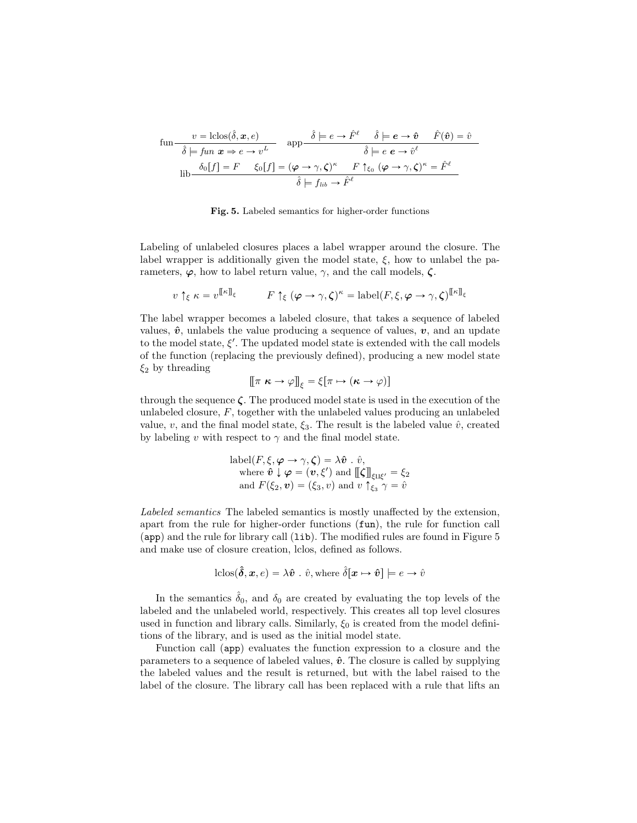$$
\text{fun}\frac{v = \text{l}\text{clos}(\hat{\delta}, \mathbf{x}, e)}{\hat{\delta} \models \text{fun } \mathbf{x} \Rightarrow e \rightarrow v^L} \quad \text{app}\frac{\hat{\delta} \models e \rightarrow \hat{F}^\ell}{\hat{\delta} \models e \rightarrow \hat{v} \quad \hat{F}(\hat{v}) = \hat{v}}\n\text{lib}\frac{\delta_0[f] = F \quad \xi_0[f] = (\varphi \rightarrow \gamma, \zeta)^\kappa \quad F \uparrow_{\xi_0} (\varphi \rightarrow \gamma, \zeta)^\kappa = \hat{F}^\ell}{\hat{\delta} \models f_{\text{lib}} \rightarrow \hat{F}^\ell}
$$

<span id="page-15-0"></span>Fig. 5. Labeled semantics for higher-order functions

Labeling of unlabeled closures places a label wrapper around the closure. The label wrapper is additionally given the model state,  $\xi$ , how to unlabel the parameters,  $\varphi$ , how to label return value,  $\gamma$ , and the call models,  $\zeta$ .

$$
v \uparrow_{\xi} \kappa = v^{\llbracket \kappa \rrbracket_{\xi}} \qquad F \uparrow_{\xi} (\varphi \to \gamma, \zeta)^{\kappa} = \text{label}(F, \xi, \varphi \to \gamma, \zeta)^{\llbracket \kappa \rrbracket_{\xi}}
$$

The label wrapper becomes a labeled closure, that takes a sequence of labeled values,  $\hat{v}$ , unlabels the value producing a sequence of values,  $v$ , and an update to the model state,  $\xi'$ . The updated model state is extended with the call models of the function (replacing the previously defined), producing a new model state  $\xi_2$  by threading

$$
\llbracket \pi \kappa \to \varphi \rrbracket_{\xi} = \xi \llbracket \pi \mapsto (\kappa \to \varphi) \rrbracket
$$

through the sequence  $\zeta$ . The produced model state is used in the execution of the unlabeled closure,  $F$ , together with the unlabeled values producing an unlabeled value, v, and the final model state,  $\xi_3$ . The result is the labeled value  $\hat{v}$ , created by labeling v with respect to  $\gamma$  and the final model state.

$$
label(F, \xi, \varphi \to \gamma, \zeta) = \lambda \hat{\boldsymbol{v}} \cdot \hat{\boldsymbol{v}},
$$
  
where  $\hat{\boldsymbol{v}} \downarrow \varphi = (\boldsymbol{v}, \xi')$  and  $[[\zeta]]_{\xi \amalg \xi'} = \xi_2$   
and  $F(\xi_2, \boldsymbol{v}) = (\xi_3, \upsilon)$  and  $\upsilon \uparrow_{\xi_3} \gamma = \hat{\upsilon}$ 

Labeled semantics The labeled semantics is mostly unaffected by the extension, apart from the rule for higher-order functions (fun), the rule for function call (app) and the rule for library call (1ib). The modified rules are found in Figure [5](#page-15-0) and make use of closure creation, lclos, defined as follows.

$$
\text{lclos}(\hat{\pmb{\delta}}, \pmb{x}, e) = \lambda \hat{\pmb{v}} \ . \ \hat{v}, \text{where } \hat{\delta}[\pmb{x} \mapsto \hat{\pmb{v}}] \models e \rightarrow \hat{v}
$$

In the semantics  $\delta_0$ , and  $\delta_0$  are created by evaluating the top levels of the labeled and the unlabeled world, respectively. This creates all top level closures used in function and library calls. Similarly,  $\xi_0$  is created from the model definitions of the library, and is used as the initial model state.

Function call (app) evaluates the function expression to a closure and the parameters to a sequence of labeled values,  $\hat{v}$ . The closure is called by supplying the labeled values and the result is returned, but with the label raised to the label of the closure. The library call has been replaced with a rule that lifts an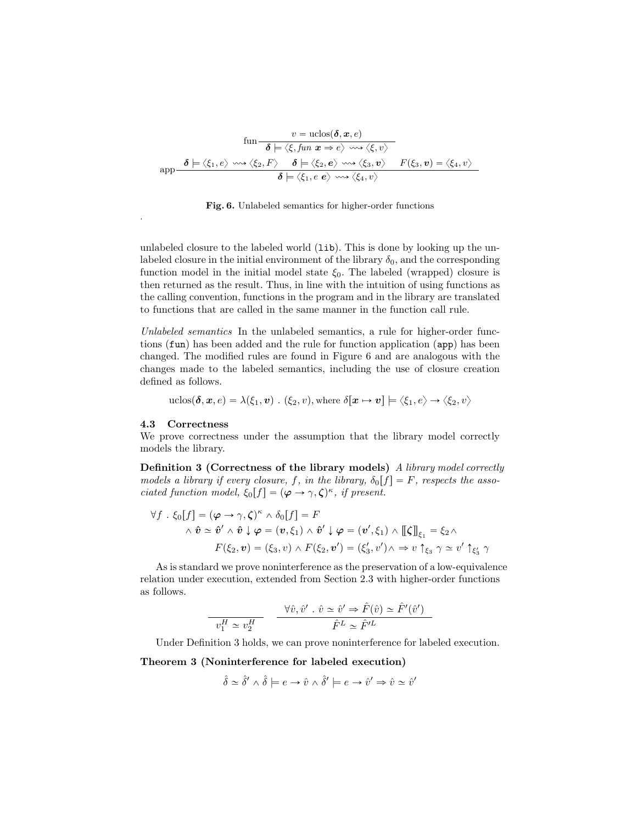$$
\text{fun}\n\begin{aligned}\n&v = \text{uclos}(\delta, \mathbf{x}, e) \\
& \delta \models \langle \xi, \text{fun } \mathbf{x} \Rightarrow e \rangle \rightsquigarrow \langle \xi, v \rangle \\
\text{app}\n\begin{aligned}\n& \delta \models \langle \xi_1, e \rangle \rightsquigarrow \langle \xi_2, F \rangle \quad \delta \models \langle \xi_2, e \rangle \rightsquigarrow \langle \xi_3, v \rangle \\
& \delta \models \langle \xi_1, e \text{ } e \rangle \rightsquigarrow \langle \xi_4, v \rangle\n\end{aligned}\n\end{aligned}
$$

<span id="page-16-0"></span>Fig. 6. Unlabeled semantics for higher-order functions

unlabeled closure to the labeled world (lib). This is done by looking up the unlabeled closure in the initial environment of the library  $\delta_0$ , and the corresponding function model in the initial model state  $\xi_0$ . The labeled (wrapped) closure is then returned as the result. Thus, in line with the intuition of using functions as the calling convention, functions in the program and in the library are translated to functions that are called in the same manner in the function call rule.

Unlabeled semantics In the unlabeled semantics, a rule for higher-order functions (fun) has been added and the rule for function application (app) has been changed. The modified rules are found in Figure [6](#page-16-0) and are analogous with the changes made to the labeled semantics, including the use of closure creation defined as follows.

$$
\mathrm{uclos}(\bm{\delta},\bm{x},e) = \lambda(\xi_1,\bm{v}) \ . \ (\xi_2,v), \mathrm{where} \ \delta[\bm{x}\mapsto \bm{v}] \models \left<\xi_1,e\right> \rightarrow \left<\xi_2,v\right>
$$

#### 4.3 Correctness

.

We prove correctness under the assumption that the library model correctly models the library.

<span id="page-16-1"></span>Definition 3 (Correctness of the library models) A library model correctly models a library if every closure, f, in the library,  $\delta_0[f] = F$ , respects the associated function model,  $\xi_0[f] = (\varphi \to \gamma, \zeta)^{\kappa}$ , if present.

$$
\forall f \cdot \xi_0[f] = (\varphi \to \gamma, \zeta)^{\kappa} \wedge \delta_0[f] = F
$$
  
 
$$
\wedge \hat{\boldsymbol{v}} \simeq \hat{\boldsymbol{v}}' \wedge \hat{\boldsymbol{v}} \downarrow \varphi = (\boldsymbol{v}, \xi_1) \wedge \hat{\boldsymbol{v}}' \downarrow \varphi = (\boldsymbol{v}', \xi_1) \wedge [\![\zeta]\!]_{\xi_1} = \xi_2 \wedge
$$
  
 
$$
F(\xi_2, \boldsymbol{v}) = (\xi_3, \boldsymbol{v}) \wedge F(\xi_2, \boldsymbol{v}') = (\xi'_3, \boldsymbol{v}') \wedge \Rightarrow \boldsymbol{v} \uparrow_{\xi_3} \gamma \simeq \boldsymbol{v}' \uparrow_{\xi'_3} \gamma
$$

As is standard we prove noninterference as the preservation of a low-equivalence relation under execution, extended from Section [2.3](#page-5-2) with higher-order functions as follows.

$$
\frac{\forall \hat{v}, \hat{v}' \cdot \hat{v} \simeq \hat{v}' \Rightarrow \hat{F}(\hat{v}) \simeq \hat{F}'(\hat{v}')
$$

$$
v_1^H \simeq v_2^H \qquad \qquad \hat{F}^L \simeq \hat{F}'^L
$$

Under Definition [3](#page-16-1) holds, we can prove noninterference for labeled execution.

Theorem 3 (Noninterference for labeled execution)

 $\hat{\delta} \simeq \hat{\delta}' \wedge \hat{\delta} \models e \rightarrow \hat{v} \wedge \hat{\delta}' \models e \rightarrow \hat{v}' \Rightarrow \hat{v} \simeq \hat{v}'$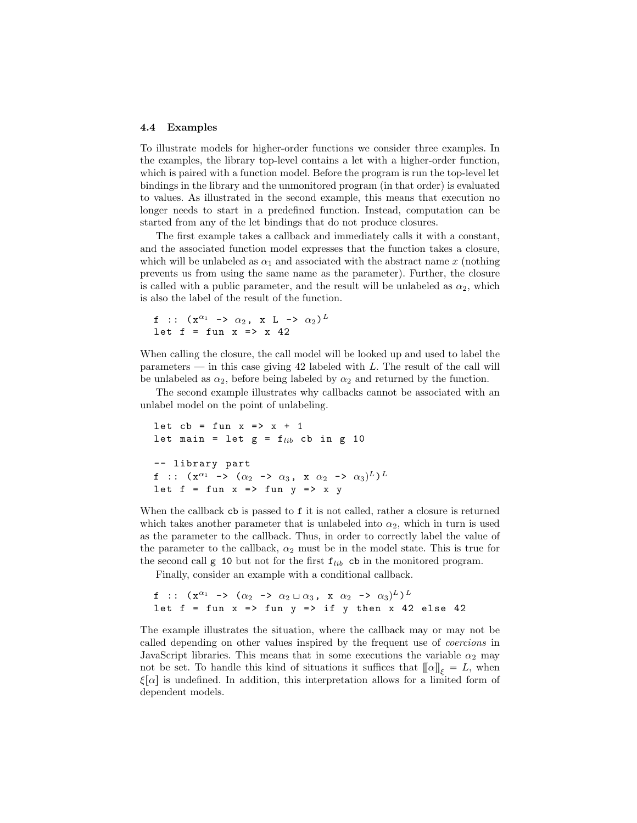#### 4.4 Examples

To illustrate models for higher-order functions we consider three examples. In the examples, the library top-level contains a let with a higher-order function, which is paired with a function model. Before the program is run the top-level let bindings in the library and the unmonitored program (in that order) is evaluated to values. As illustrated in the second example, this means that execution no longer needs to start in a predefined function. Instead, computation can be started from any of the let bindings that do not produce closures.

The first example takes a callback and immediately calls it with a constant, and the associated function model expresses that the function takes a closure, which will be unlabeled as  $\alpha_1$  and associated with the abstract name x (nothing prevents us from using the same name as the parameter). Further, the closure is called with a public parameter, and the result will be unlabeled as  $\alpha_2$ , which is also the label of the result of the function.

```
f :: (x^{\alpha_1} \rightarrow \alpha_2, x L \rightarrow \alpha_2)let f = fun x => x 42
```
When calling the closure, the call model will be looked up and used to label the parameters — in this case giving  $42$  labeled with L. The result of the call will be unlabeled as  $\alpha_2$ , before being labeled by  $\alpha_2$  and returned by the function.

The second example illustrates why callbacks cannot be associated with an unlabel model on the point of unlabeling.

```
let cb = fun x => x + 1let main = let g = f_{lib} cb in g 10
-- library part
{\tt f} :: ({\tt x}^{\alpha_1} \to {\tt (\alpha_2 \to \alpha_3, \ x \ \alpha_2 \to \alpha_3)^L)^L}let f = fun x => fun y => x y
```
When the callback cb is passed to f it is not called, rather a closure is returned which takes another parameter that is unlabeled into  $\alpha_2$ , which in turn is used as the parameter to the callback. Thus, in order to correctly label the value of the parameter to the callback,  $\alpha_2$  must be in the model state. This is true for the second call  $g$  10 but not for the first  $f_{lib}$  cb in the monitored program.

Finally, consider an example with a conditional callback.

```
\texttt{f} :: (x^{\alpha_1} \rightarrow (\alpha_2 \rightarrow \alpha_2 \sqcup \alpha_3, x \alpha_2 \rightarrow \alpha_3)^L)^Llet f = fun x => fun y => if y then x 42 else 42
```
The example illustrates the situation, where the callback may or may not be called depending on other values inspired by the frequent use of coercions in JavaScript libraries. This means that in some executions the variable  $\alpha_2$  may not be set. To handle this kind of situations it suffices that  $\llbracket \alpha \rrbracket_{\varepsilon} = L$ , when  $\xi[\alpha]$  is undefined. In addition, this interpretation allows for a limited form of dependent models.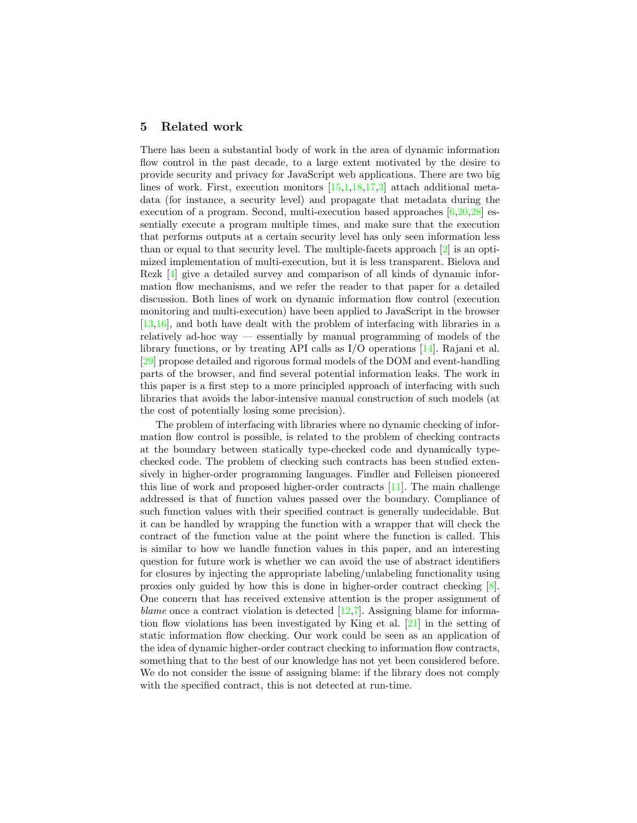# <span id="page-18-0"></span>5 Related work

There has been a substantial body of work in the area of dynamic information flow control in the past decade, to a large extent motivated by the desire to provide security and privacy for JavaScript web applications. There are two big lines of work. First, execution monitors  $[15,1,18,17,3]$  $[15,1,18,17,3]$  $[15,1,18,17,3]$  $[15,1,18,17,3]$  $[15,1,18,17,3]$  attach additional metadata (for instance, a security level) and propagate that metadata during the execution of a program. Second, multi-execution based approaches  $[6,20,28]$  $[6,20,28]$  $[6,20,28]$  essentially execute a program multiple times, and make sure that the execution that performs outputs at a certain security level has only seen information less than or equal to that security level. The multiple-facets approach [\[2\]](#page-20-17) is an optimized implementation of multi-execution, but it is less transparent. Bielova and Rezk [\[4\]](#page-20-18) give a detailed survey and comparison of all kinds of dynamic information flow mechanisms, and we refer the reader to that paper for a detailed discussion. Both lines of work on dynamic information flow control (execution monitoring and multi-execution) have been applied to JavaScript in the browser [\[13](#page-20-8)[,16\]](#page-20-7), and both have dealt with the problem of interfacing with libraries in a relatively ad-hoc way — essentially by manual programming of models of the library functions, or by treating API calls as I/O operations [\[14\]](#page-20-9). Rajani et al. [\[29\]](#page-21-4) propose detailed and rigorous formal models of the DOM and event-handling parts of the browser, and find several potential information leaks. The work in this paper is a first step to a more principled approach of interfacing with such libraries that avoids the labor-intensive manual construction of such models (at the cost of potentially losing some precision).

The problem of interfacing with libraries where no dynamic checking of information flow control is possible, is related to the problem of checking contracts at the boundary between statically type-checked code and dynamically typechecked code. The problem of checking such contracts has been studied extensively in higher-order programming languages. Findler and Felleisen pioneered this line of work and proposed higher-order contracts [\[11\]](#page-20-19). The main challenge addressed is that of function values passed over the boundary. Compliance of such function values with their specified contract is generally undecidable. But it can be handled by wrapping the function with a wrapper that will check the contract of the function value at the point where the function is called. This is similar to how we handle function values in this paper, and an interesting question for future work is whether we can avoid the use of abstract identifiers for closures by injecting the appropriate labeling/unlabeling functionality using proxies only guided by how this is done in higher-order contract checking [\[8\]](#page-20-20). One concern that has received extensive attention is the proper assignment of blame once a contract violation is detected  $[12,7]$  $[12,7]$ . Assigning blame for information flow violations has been investigated by King et al. [\[21\]](#page-20-23) in the setting of static information flow checking. Our work could be seen as an application of the idea of dynamic higher-order contract checking to information flow contracts, something that to the best of our knowledge has not yet been considered before. We do not consider the issue of assigning blame: if the library does not comply with the specified contract, this is not detected at run-time.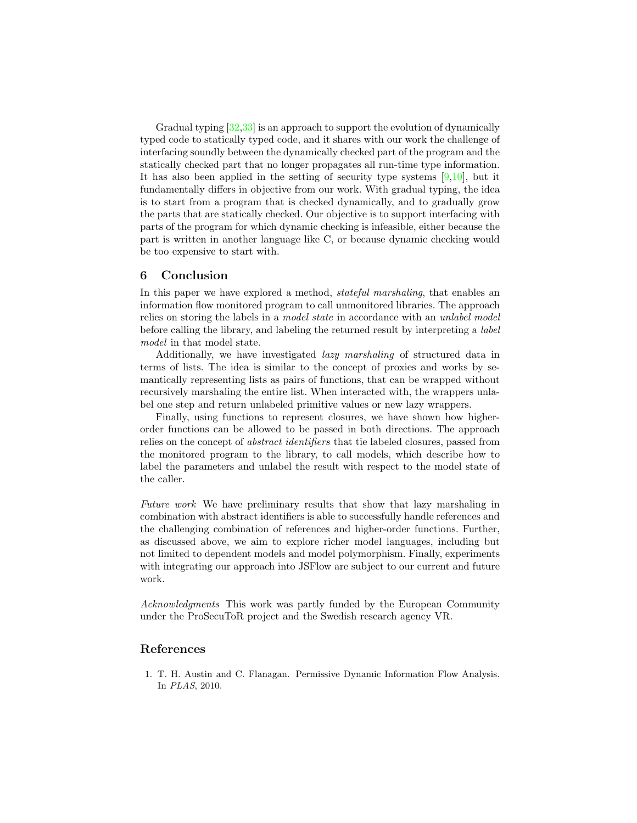Gradual typing [\[32](#page-21-5)[,33\]](#page-21-6) is an approach to support the evolution of dynamically typed code to statically typed code, and it shares with our work the challenge of interfacing soundly between the dynamically checked part of the program and the statically checked part that no longer propagates all run-time type information. It has also been applied in the setting of security type systems  $[9,10]$  $[9,10]$ , but it fundamentally differs in objective from our work. With gradual typing, the idea is to start from a program that is checked dynamically, and to gradually grow the parts that are statically checked. Our objective is to support interfacing with parts of the program for which dynamic checking is infeasible, either because the part is written in another language like C, or because dynamic checking would be too expensive to start with.

# <span id="page-19-1"></span>6 Conclusion

In this paper we have explored a method, *stateful marshaling*, that enables an information flow monitored program to call unmonitored libraries. The approach relies on storing the labels in a *model state* in accordance with an *unlabel model* before calling the library, and labeling the returned result by interpreting a label model in that model state.

Additionally, we have investigated lazy marshaling of structured data in terms of lists. The idea is similar to the concept of proxies and works by semantically representing lists as pairs of functions, that can be wrapped without recursively marshaling the entire list. When interacted with, the wrappers unlabel one step and return unlabeled primitive values or new lazy wrappers.

Finally, using functions to represent closures, we have shown how higherorder functions can be allowed to be passed in both directions. The approach relies on the concept of abstract identifiers that tie labeled closures, passed from the monitored program to the library, to call models, which describe how to label the parameters and unlabel the result with respect to the model state of the caller.

Future work We have preliminary results that show that lazy marshaling in combination with abstract identifiers is able to successfully handle references and the challenging combination of references and higher-order functions. Further, as discussed above, we aim to explore richer model languages, including but not limited to dependent models and model polymorphism. Finally, experiments with integrating our approach into JSFlow are subject to our current and future work.

Acknowledgments This work was partly funded by the European Community under the ProSecuToR project and the Swedish research agency VR.

# References

<span id="page-19-0"></span>1. T. H. Austin and C. Flanagan. Permissive Dynamic Information Flow Analysis. In PLAS, 2010.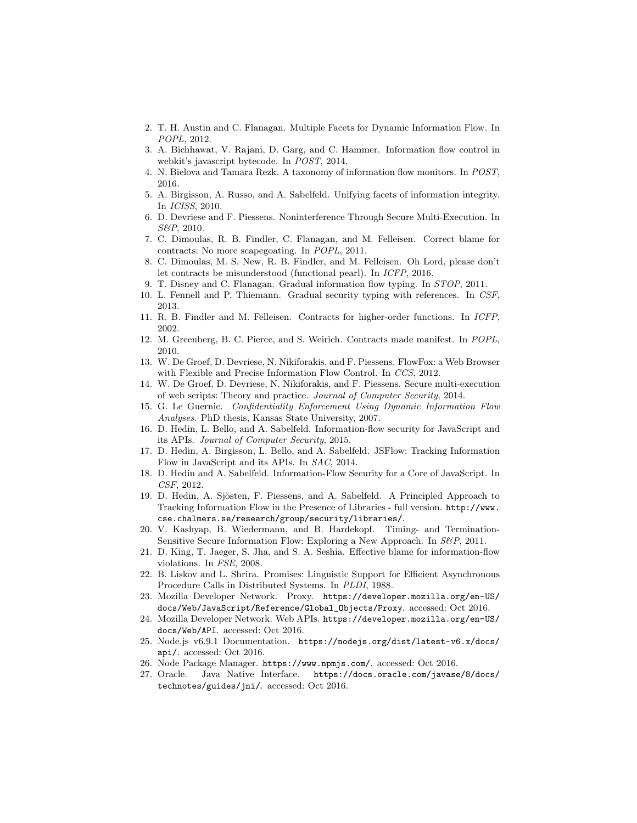- <span id="page-20-17"></span>2. T. H. Austin and C. Flanagan. Multiple Facets for Dynamic Information Flow. In POPL, 2012.
- <span id="page-20-4"></span>3. A. Bichhawat, V. Rajani, D. Garg, and C. Hammer. Information flow control in webkit's javascript bytecode. In POST, 2014.
- <span id="page-20-18"></span>4. N. Bielova and Tamara Rezk. A taxonomy of information flow monitors. In POST, 2016.
- <span id="page-20-14"></span>5. A. Birgisson, A. Russo, and A. Sabelfeld. Unifying facets of information integrity. In ICISS, 2010.
- <span id="page-20-5"></span>6. D. Devriese and F. Piessens. Noninterference Through Secure Multi-Execution. In S&P, 2010.
- <span id="page-20-22"></span>7. C. Dimoulas, R. B. Findler, C. Flanagan, and M. Felleisen. Correct blame for contracts: No more scapegoating. In POPL, 2011.
- <span id="page-20-20"></span>8. C. Dimoulas, M. S. New, R. B. Findler, and M. Felleisen. Oh Lord, please don't let contracts be misunderstood (functional pearl). In ICFP, 2016.
- <span id="page-20-24"></span>9. T. Disney and C. Flanagan. Gradual information flow typing. In STOP, 2011.
- <span id="page-20-25"></span>10. L. Fennell and P. Thiemann. Gradual security typing with references. In CSF, 2013.
- <span id="page-20-19"></span>11. R. B. Findler and M. Felleisen. Contracts for higher-order functions. In ICFP, 2002.
- <span id="page-20-21"></span>12. M. Greenberg, B. C. Pierce, and S. Weirich. Contracts made manifest. In POPL, 2010.
- <span id="page-20-8"></span>13. W. De Groef, D. Devriese, N. Nikiforakis, and F. Piessens. FlowFox: a Web Browser with Flexible and Precise Information Flow Control. In CCS, 2012.
- <span id="page-20-9"></span>14. W. De Groef, D. Devriese, N. Nikiforakis, and F. Piessens. Secure multi-execution of web scripts: Theory and practice. Journal of Computer Security, 2014.
- <span id="page-20-1"></span>15. G. Le Guernic. Confidentiality Enforcement Using Dynamic Information Flow Analyses. PhD thesis, Kansas State University, 2007.
- <span id="page-20-7"></span>16. D. Hedin, L. Bello, and A. Sabelfeld. Information-flow security for JavaScript and its APIs. Journal of Computer Security, 2015.
- <span id="page-20-3"></span>17. D. Hedin, A. Birgisson, L. Bello, and A. Sabelfeld. JSFlow: Tracking Information Flow in JavaScript and its APIs. In SAC, 2014.
- <span id="page-20-2"></span>18. D. Hedin and A. Sabelfeld. Information-Flow Security for a Core of JavaScript. In CSF, 2012.
- <span id="page-20-15"></span>19. D. Hedin, A. Sjösten, F. Piessens, and A. Sabelfeld. A Principled Approach to Tracking Information Flow in the Presence of Libraries - full version. [http://www.](http://www.cse.chalmers.se/research/group/security/libraries/) [cse.chalmers.se/research/group/security/libraries/](http://www.cse.chalmers.se/research/group/security/libraries/).
- <span id="page-20-6"></span>20. V. Kashyap, B. Wiedermann, and B. Hardekopf. Timing- and Termination-Sensitive Secure Information Flow: Exploring a New Approach. In  $S\&P$ , 2011.
- <span id="page-20-23"></span>21. D. King, T. Jaeger, S. Jha, and S. A. Seshia. Effective blame for information-flow violations. In FSE, 2008.
- <span id="page-20-13"></span>22. B. Liskov and L. Shrira. Promises: Linguistic Support for Efficient Asynchronous Procedure Calls in Distributed Systems. In PLDI, 1988.
- <span id="page-20-16"></span>23. Mozilla Developer Network. Proxy. [https://developer.mozilla.org/en-US/](https://developer.mozilla.org/en-US/docs/Web/JavaScript/Reference/Global_Objects/Proxy) [docs/Web/JavaScript/Reference/Global\\_Objects/Proxy](https://developer.mozilla.org/en-US/docs/Web/JavaScript/Reference/Global_Objects/Proxy). accessed: Oct 2016.
- <span id="page-20-12"></span>24. Mozilla Developer Network. Web APIs. [https://developer.mozilla.org/en-US/](https://developer.mozilla.org/en-US/docs/Web/API) [docs/Web/API](https://developer.mozilla.org/en-US/docs/Web/API). accessed: Oct 2016.
- <span id="page-20-10"></span>25. Node.js v6.9.1 Documentation. [https://nodejs.org/dist/latest-v6.x/docs/](https://nodejs.org/dist/latest-v6.x/docs/api/) [api/](https://nodejs.org/dist/latest-v6.x/docs/api/). accessed: Oct 2016.
- <span id="page-20-11"></span>26. Node Package Manager. <https://www.npmjs.com/>. accessed: Oct 2016.
- <span id="page-20-0"></span>27. Oracle. Java Native Interface. [https://docs.oracle.com/javase/8/docs/](https://docs.oracle.com/javase/8/docs/technotes/guides/jni/) [technotes/guides/jni/](https://docs.oracle.com/javase/8/docs/technotes/guides/jni/). accessed: Oct 2016.